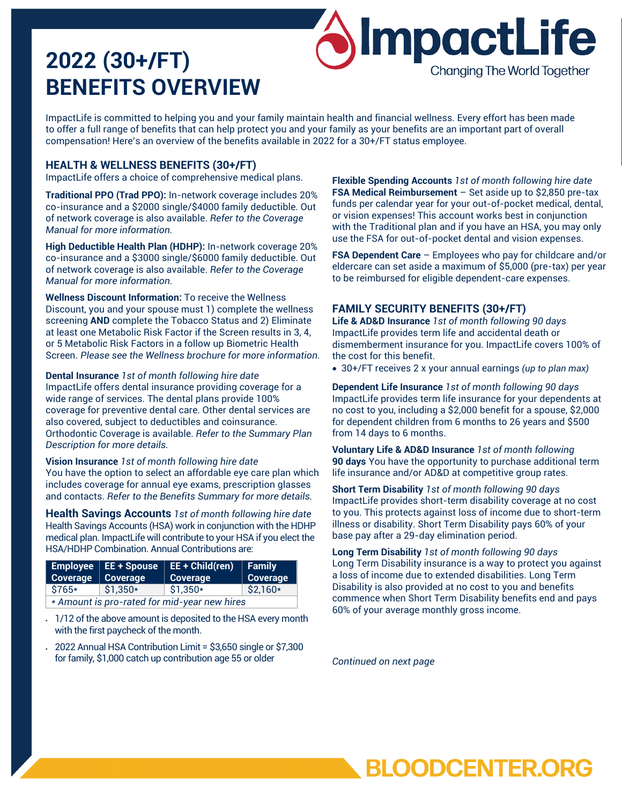# **2022 (30+/FT) BENEFITS OVERVIEW**

ImpactLife is committed to helping you and your family maintain health and financial wellness. Every effort has been made to offer a full range of benefits that can help protect you and your family as your benefits are an important part of overall compensation! Here's an overview of the benefits available in 2022 for a 30+/FT status employee.

## **HEALTH & WELLNESS BENEFITS (30+/FT)**

ImpactLife offers a choice of comprehensive medical plans.

**Traditional PPO (Trad PPO):** In-network coverage includes 20% co-insurance and a \$2000 single/\$4000 family deductible. Out of network coverage is also available. *Refer to the Coverage Manual for more information.*

**High Deductible Health Plan (HDHP):** In-network coverage 20% co-insurance and a \$3000 single/\$6000 family deductible. Out of network coverage is also available. *Refer to the Coverage Manual for more information.*

**Wellness Discount Information:** To receive the Wellness Discount, you and your spouse must 1) complete the wellness screening **AND** complete the Tobacco Status and 2) Eliminate at least one Metabolic Risk Factor if the Screen results in 3, 4, or 5 Metabolic Risk Factors in a follow up Biometric Health Screen. *Please see the Wellness brochure for more information.*

**Dental Insurance** *1st of month following hire date* ImpactLife offers dental insurance providing coverage for a wide range of services. The dental plans provide 100% coverage for preventive dental care. Other dental services are also covered, subject to deductibles and coinsurance. Orthodontic Coverage is available. *Refer to the Summary Plan Description for more details.*

**Vision Insurance** *1st of month following hire date* You have the option to select an affordable eye care plan which includes coverage for annual eye exams, prescription glasses and contacts. *Refer to the Benefits Summary for more details.*

**Health Savings Accounts** *1st of month following hire date* Health Savings Accounts (HSA) work in conjunction with the HDHP medical plan. ImpactLife will contribute to your HSA if you elect the HSA/HDHP Combination. Annual Contributions are:

| Coverage   Coverage                          |           | Employee   EE + Spouse   EE + Child(ren)   Family<br><b>Coverage</b> | Coverage  |
|----------------------------------------------|-----------|----------------------------------------------------------------------|-----------|
| \$765*                                       | $$1,350*$ | $$1,350*$                                                            | $$2,160*$ |
| * Amount is pro-rated for mid-year new hires |           |                                                                      |           |

- 1/12 of the above amount is deposited to the HSA every month with the first paycheck of the month.
- 2022 Annual HSA Contribution Limit = \$3,650 single or \$7,300 for family, \$1,000 catch up contribution age 55 or older

**Flexible Spending Accounts** *1st of month following hire date* **FSA Medical Reimbursement** – Set aside up to \$2,850 pre-tax funds per calendar year for your out-of-pocket medical, dental, or vision expenses! This account works best in conjunction with the Traditional plan and if you have an HSA, you may only use the FSA for out-of-pocket dental and vision expenses.

**SImpactLife** 

**Changing The World Together** 

**FSA Dependent Care** – Employees who pay for childcare and/or eldercare can set aside a maximum of \$5,000 (pre-tax) per year to be reimbursed for eligible dependent-care expenses.

# **FAMILY SECURITY BENEFITS (30+/FT)**

**Life & AD&D Insurance** *1st of month following 90 days* ImpactLife provides term life and accidental death or dismemberment insurance for you. ImpactLife covers 100% of the cost for this benefit.

• 30+/FT receives 2 x your annual earnings *(up to plan max)*

**Dependent Life Insurance** *1st of month following 90 days* ImpactLife provides term life insurance for your dependents at no cost to you, including a \$2,000 benefit for a spouse, \$2,000 for dependent children from 6 months to 26 years and \$500 from 14 days to 6 months.

**Voluntary Life & AD&D Insurance** *1st of month following* **90 days** You have the opportunity to purchase additional term life insurance and/or AD&D at competitive group rates.

**Short Term Disability** *1st of month following 90 days* ImpactLife provides short-term disability coverage at no cost to you. This protects against loss of income due to short-term illness or disability. Short Term Disability pays 60% of your base pay after a 29-day elimination period.

**Long Term Disability** *1st of month following 90 days* Long Term Disability insurance is a way to protect you against a loss of income due to extended disabilities. Long Term Disability is also provided at no cost to you and benefits commence when Short Term Disability benefits end and pays 60% of your average monthly gross income.

*Continued on next page*